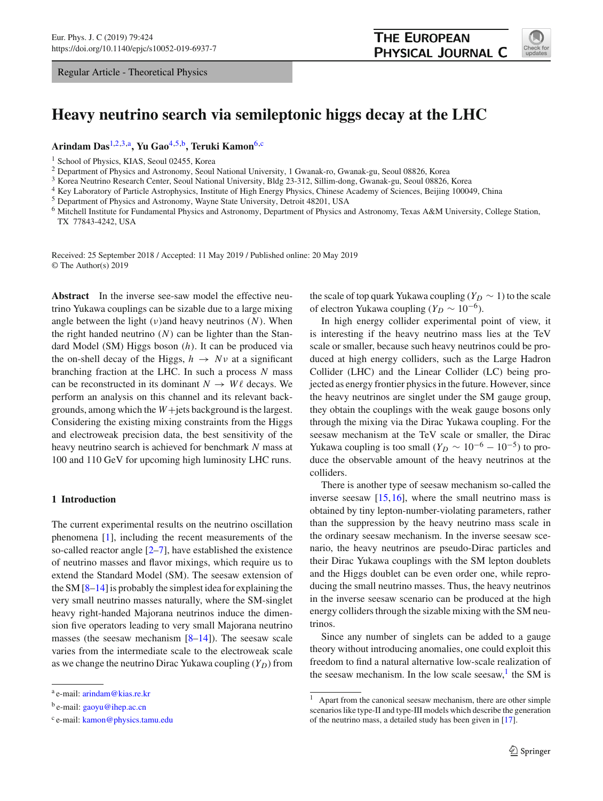Regular Article - Theoretical Physics

<span id="page-0-3"></span><span id="page-0-2"></span><span id="page-0-1"></span>

# **Heavy neutrino search via semileptonic higgs decay at the LHC**

**Arindam Das**[1,2](#page-0-0)[,3,](#page-0-1)a**, Yu Gao**[4](#page-0-2)[,5,](#page-0-3)b**, Teruki Kamon**[6,](#page-0-4)c

<span id="page-0-0"></span><sup>1</sup> School of Physics, KIAS, Seoul 02455, Korea

<sup>2</sup> Department of Physics and Astronomy, Seoul National University, 1 Gwanak-ro, Gwanak-gu, Seoul 08826, Korea

<sup>3</sup> Korea Neutrino Research Center, Seoul National University, Bldg 23-312, Sillim-dong, Gwanak-gu, Seoul 08826, Korea

<sup>4</sup> Key Laboratory of Particle Astrophysics, Institute of High Energy Physics, Chinese Academy of Sciences, Beijing 100049, China

<sup>5</sup> Department of Physics and Astronomy, Wayne State University, Detroit 48201, USA

<sup>6</sup> Mitchell Institute for Fundamental Physics and Astronomy, Department of Physics and Astronomy, Texas A&M University, College Station, TX 77843-4242, USA

Received: 25 September 2018 / Accepted: 11 May 2019 / Published online: 20 May 2019 © The Author(s) 2019

**Abstract** In the inverse see-saw model the effective neutrino Yukawa couplings can be sizable due to a large mixing angle between the light  $(v)$  and heavy neutrinos  $(N)$ . When the right handed neutrino (*N*) can be lighter than the Standard Model (SM) Higgs boson (*h*). It can be produced via the on-shell decay of the Higgs,  $h \rightarrow Nv$  at a significant branching fraction at the LHC. In such a process *N* mass can be reconstructed in its dominant  $N \to W\ell$  decays. We perform an analysis on this channel and its relevant backgrounds, among which the *W*+jets background is the largest. Considering the existing mixing constraints from the Higgs and electroweak precision data, the best sensitivity of the heavy neutrino search is achieved for benchmark *N* mass at 100 and 110 GeV for upcoming high luminosity LHC runs.

## **1 Introduction**

The current experimental results on the neutrino oscillation phenomena [\[1](#page-7-0)], including the recent measurements of the so-called reactor angle  $[2-7]$  $[2-7]$ , have established the existence of neutrino masses and flavor mixings, which require us to extend the Standard Model (SM). The seesaw extension of the SM [\[8](#page-7-3)[–14\]](#page-8-0) is probably the simplest idea for explaining the very small neutrino masses naturally, where the SM-singlet heavy right-handed Majorana neutrinos induce the dimension five operators leading to very small Majorana neutrino masses (the seesaw mechanism  $[8-14]$  $[8-14]$ ). The seesaw scale varies from the intermediate scale to the electroweak scale as we change the neutrino Dirac Yukawa coupling  $(Y_D)$  from <span id="page-0-4"></span>the scale of top quark Yukawa coupling  $(Y_D \sim 1)$  to the scale of electron Yukawa coupling ( $Y_D \sim 10^{-6}$ ).

In high energy collider experimental point of view, it is interesting if the heavy neutrino mass lies at the TeV scale or smaller, because such heavy neutrinos could be produced at high energy colliders, such as the Large Hadron Collider (LHC) and the Linear Collider (LC) being projected as energy frontier physics in the future. However, since the heavy neutrinos are singlet under the SM gauge group, they obtain the couplings with the weak gauge bosons only through the mixing via the Dirac Yukawa coupling. For the seesaw mechanism at the TeV scale or smaller, the Dirac Yukawa coupling is too small ( $Y_D \sim 10^{-6} - 10^{-5}$ ) to produce the observable amount of the heavy neutrinos at the colliders.

There is another type of seesaw mechanism so-called the inverse seesaw [\[15,](#page-8-1)[16\]](#page-8-2), where the small neutrino mass is obtained by tiny lepton-number-violating parameters, rather than the suppression by the heavy neutrino mass scale in the ordinary seesaw mechanism. In the inverse seesaw scenario, the heavy neutrinos are pseudo-Dirac particles and their Dirac Yukawa couplings with the SM lepton doublets and the Higgs doublet can be even order one, while reproducing the small neutrino masses. Thus, the heavy neutrinos in the inverse seesaw scenario can be produced at the high energy colliders through the sizable mixing with the SM neutrinos.

Since any number of singlets can be added to a gauge theory without introducing anomalies, one could exploit this freedom to find a natural alternative low-scale realization of the seesaw mechanism. In the low scale seesaw, $<sup>1</sup>$  $<sup>1</sup>$  $<sup>1</sup>$  the SM is</sup>

<sup>a</sup> e-mail: [arindam@kias.re.kr](mailto:arindam@kias.re.kr)

<sup>b</sup> e-mail: [gaoyu@ihep.ac.cn](mailto:gaoyu@ihep.ac.cn)

<sup>c</sup> e-mail: [kamon@physics.tamu.edu](mailto:kamon@physics.tamu.edu)

<span id="page-0-5"></span><sup>1</sup> Apart from the canonical seesaw mechanism, there are other simple scenarios like type-II and type-III models which describe the generation of the neutrino mass, a detailed study has been given in [\[17\]](#page-8-3).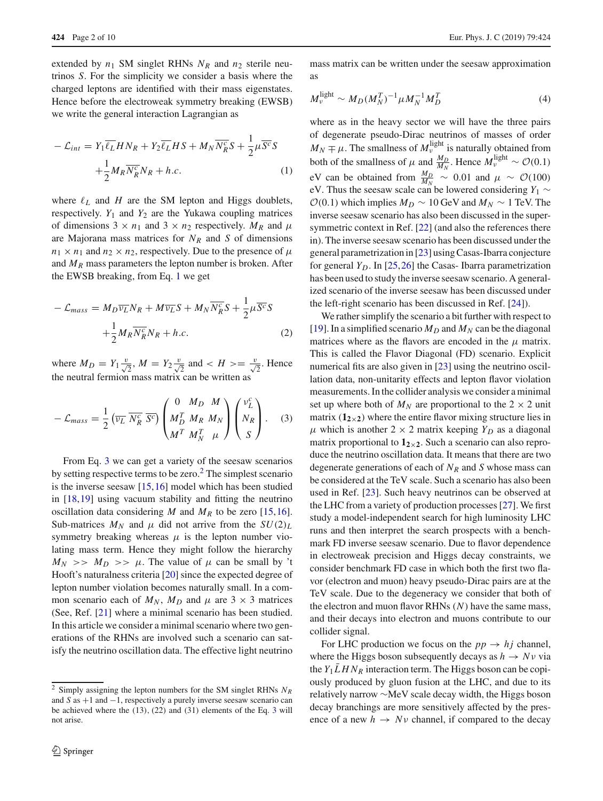extended by  $n_1$  SM singlet RHNs  $N_R$  and  $n_2$  sterile neutrinos *S*. For the simplicity we consider a basis where the charged leptons are identified with their mass eigenstates. Hence before the electroweak symmetry breaking (EWSB) we write the general interaction Lagrangian as

<span id="page-1-0"></span>
$$
-\mathcal{L}_{int} = Y_1 \overline{\ell_L} H N_R + Y_2 \overline{\ell_L} H S + M_N \overline{N_R^c} S + \frac{1}{2} \mu \overline{S^c} S
$$

$$
+ \frac{1}{2} M_R \overline{N_R^c} N_R + h.c.
$$
(1)

where  $\ell_L$  and  $H$  are the SM lepton and Higgs doublets, respectively.  $Y_1$  and  $Y_2$  are the Yukawa coupling matrices of dimensions  $3 \times n_1$  and  $3 \times n_2$  respectively.  $M_R$  and  $\mu$ are Majorana mass matrices for  $N_R$  and  $S$  of dimensions  $n_1 \times n_1$  and  $n_2 \times n_2$ , respectively. Due to the presence of  $\mu$ and *MR* mass parameters the lepton number is broken. After the EWSB breaking, from Eq. [1](#page-1-0) we get

$$
-\mathcal{L}_{mass} = M_D \overline{\nu_L} N_R + M \overline{\nu_L} S + M_N \overline{N_R^c} S + \frac{1}{2} \mu \overline{S^c} S +\frac{1}{2} M_R \overline{N_R^c} N_R + h.c.
$$
 (2)

where  $M_D = Y_1 \frac{v}{\sqrt{2}}$ ,  $M = Y_2 \frac{v}{\sqrt{2}}$  and  $\lt H \gt \lt \frac{v}{\sqrt{2}}$ . Hence the neutral fermion mass matrix can be written as

<span id="page-1-1"></span>
$$
-\mathcal{L}_{mass} = \frac{1}{2} \left( \overline{\nu_L} \ \overline{N_R^c} \ \overline{S^c} \right) \begin{pmatrix} 0 & M_D & M \\ M_D^T & M_R & M_N \\ M^T & M_N^T & \mu \end{pmatrix} \begin{pmatrix} \nu_L^c \\ N_R \\ S \end{pmatrix} . \tag{3}
$$

From Eq. [3](#page-1-1) we can get a variety of the seesaw scenarios by setting respective terms to be zero. $<sup>2</sup>$  The simplest scenario</sup> is the inverse seesaw  $[15,16]$  $[15,16]$  model which has been studied in [\[18](#page-8-4)[,19](#page-8-5)] using vacuum stability and fitting the neutrino oscillation data considering  $M$  and  $M_R$  to be zero [\[15](#page-8-1)[,16](#page-8-2)]. Sub-matrices  $M_N$  and  $\mu$  did not arrive from the  $SU(2)_L$ symmetry breaking whereas  $\mu$  is the lepton number violating mass term. Hence they might follow the hierarchy  $M_N$  >>  $M_D$  >>  $\mu$ . The value of  $\mu$  can be small by 't Hooft's naturalness criteria [\[20](#page-8-6)] since the expected degree of lepton number violation becomes naturally small. In a common scenario each of  $M_N$ ,  $M_D$  and  $\mu$  are 3  $\times$  3 matrices (See, Ref. [\[21](#page-8-7)] where a minimal scenario has been studied. In this article we consider a minimal scenario where two generations of the RHNs are involved such a scenario can satisfy the neutrino oscillation data. The effective light neutrino

mass matrix can be written under the seesaw approximation as

$$
M_{\nu}^{\text{light}} \sim M_D (M_N^T)^{-1} \mu M_N^{-1} M_D^T \tag{4}
$$

where as in the heavy sector we will have the three pairs of degenerate pseudo-Dirac neutrinos of masses of order  $M_N \mp \mu$ . The smallness of  $M_{\nu}^{\text{light}}$  is naturally obtained from both of the smallness of  $\mu$  and  $\frac{M_D}{M_N}$ . Hence  $M_{\nu}^{\text{light}} \sim \mathcal{O}(0.1)$ eV can be obtained from  $\frac{M_D}{M_N} \sim 0.01$  and  $\mu \sim \mathcal{O}(100)$ eV. Thus the seesaw scale can be lowered considering *Y*<sup>1</sup> ∼  $O(0.1)$  which implies  $M_D \sim 10$  GeV and  $M_N \sim 1$  TeV. The inverse seesaw scenario has also been discussed in the super-symmetric context in Ref. [\[22\]](#page-8-8) (and also the references there in). The inverse seesaw scenario has been discussed under the general parametrization in [\[23](#page-8-9)] using Casas-Ibarra conjecture for general  $Y_D$ . In [\[25](#page-8-10)[,26](#page-8-11)] the Casas-Ibarra parametrization has been used to study the inverse seesaw scenario. A generalized scenario of the inverse seesaw has been discussed under the left-right scenario has been discussed in Ref. [\[24](#page-8-12)]).

We rather simplify the scenario a bit further with respect to [\[19](#page-8-5)]. In a simplified scenario  $M_D$  and  $M_N$  can be the diagonal matrices where as the flavors are encoded in the  $\mu$  matrix. This is called the Flavor Diagonal (FD) scenario. Explicit numerical fits are also given in [\[23\]](#page-8-9) using the neutrino oscillation data, non-unitarity effects and lepton flavor violation measurements. In the collider analysis we consider a minimal set up where both of  $M_N$  are proportional to the  $2 \times 2$  unit matrix  $(1_{2\times2})$  where the entire flavor mixing structure lies in  $\mu$  which is another 2  $\times$  2 matrix keeping  $Y_D$  as a diagonal matrix proportional to  $1_{2\times2}$ . Such a scenario can also reproduce the neutrino oscillation data. It means that there are two degenerate generations of each of  $N_R$  and  $S$  whose mass can be considered at the TeV scale. Such a scenario has also been used in Ref. [\[23](#page-8-9)]. Such heavy neutrinos can be observed at the LHC from a variety of production processes [\[27](#page-8-13)]. We first study a model-independent search for high luminosity LHC runs and then interpret the search prospects with a benchmark FD inverse seesaw scenario. Due to flavor dependence in electroweak precision and Higgs decay constraints, we consider benchmark FD case in which both the first two flavor (electron and muon) heavy pseudo-Dirac pairs are at the TeV scale. Due to the degeneracy we consider that both of the electron and muon flavor RHNs (*N*) have the same mass, and their decays into electron and muons contribute to our collider signal.

For LHC production we focus on the  $pp \rightarrow hj$  channel, where the Higgs boson subsequently decays as  $h \to Nv$  via the  $Y_1 L H N_R$  interaction term. The Higgs boson can be copiously produced by gluon fusion at the LHC, and due to its relatively narrow ∼MeV scale decay width, the Higgs boson decay branchings are more sensitively affected by the presence of a new  $h \to Nv$  channel, if compared to the decay

<span id="page-1-2"></span><sup>2</sup> Simply assigning the lepton numbers for the SM singlet RHNs *NR* and *S* as +1 and −1, respectively a purely inverse seesaw scenario can be achieved where the  $(13)$  $(13)$  $(13)$ ,  $(22)$  and  $(31)$  elements of the Eq. 3 will not arise.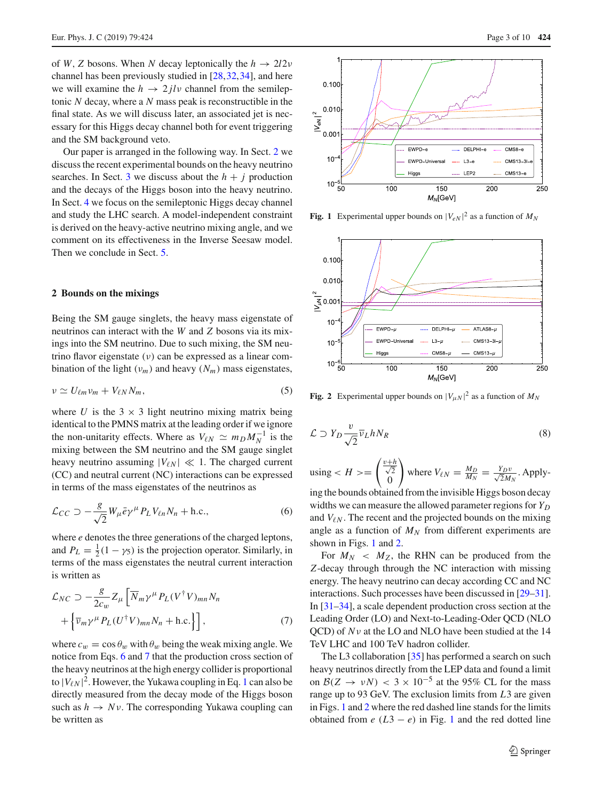of *W*, *Z* bosons. When *N* decay leptonically the  $h \rightarrow 2l2\nu$ channel has been previously studied in [\[28](#page-8-14),[32,](#page-8-15)[34\]](#page-8-16), and here we will examine the  $h \to 2 \mathrm{j} \mathrm{l} \nu$  channel from the semileptonic *N* decay, where a *N* mass peak is reconstructible in the final state. As we will discuss later, an associated jet is necessary for this Higgs decay channel both for event triggering and the SM background veto.

Our paper is arranged in the following way. In Sect. [2](#page-2-0) we discuss the recent experimental bounds on the heavy neutrino searches. In Sect. [3](#page-4-0) we discuss about the  $h + j$  production and the decays of the Higgs boson into the heavy neutrino. In Sect. [4](#page-4-1) we focus on the semileptonic Higgs decay channel and study the LHC search. A model-independent constraint is derived on the heavy-active neutrino mixing angle, and we comment on its effectiveness in the Inverse Seesaw model. Then we conclude in Sect. [5.](#page-7-4)

## <span id="page-2-0"></span>**2 Bounds on the mixings**

Being the SM gauge singlets, the heavy mass eigenstate of neutrinos can interact with the *W* and *Z* bosons via its mixings into the SM neutrino. Due to such mixing, the SM neutrino flavor eigenstate (ν) can be expressed as a linear combination of the light  $(v_m)$  and heavy  $(N_m)$  mass eigenstates,

$$
\nu \simeq U_{\ell m} \nu_m + V_{\ell N} N_m, \tag{5}
$$

where *U* is the  $3 \times 3$  light neutrino mixing matrix being identical to the PMNS matrix at the leading order if we ignore the non-unitarity effects. Where as  $V_{\ell N} \simeq m_D M_N^{-1}$  is the mixing between the SM neutrino and the SM gauge singlet heavy neutrino assuming  $|V_{\ell N}| \ll 1$ . The charged current (CC) and neutral current (NC) interactions can be expressed in terms of the mass eigenstates of the neutrinos as

<span id="page-2-1"></span>
$$
\mathcal{L}_{CC} \supset -\frac{g}{\sqrt{2}} W_{\mu} \bar{e} \gamma^{\mu} P_L V_{\ell n} N_n + \text{h.c.}, \tag{6}
$$

where *e* denotes the three generations of the charged leptons, and  $P_L = \frac{1}{2}(1 - \gamma_5)$  is the projection operator. Similarly, in terms of the mass eigenstates the neutral current interaction is written as

<span id="page-2-2"></span>
$$
\mathcal{L}_{NC} \supset -\frac{g}{2c_w} Z_{\mu} \left[ \overline{N}_m \gamma^{\mu} P_L (V^{\dagger} V)_{mn} N_n + \left\{ \overline{\nu}_m \gamma^{\mu} P_L (U^{\dagger} V)_{mn} N_n + \text{h.c.} \right\} \right],
$$
\n(7)

where  $c_w = \cos \theta_w$  with  $\theta_w$  being the weak mixing angle. We notice from Eqs. [6](#page-2-1) and [7](#page-2-2) that the production cross section of the heavy neutrinos at the high energy collider is proportional to  $|V_{\ell N}|^2$ . However, the Yukawa coupling in Eq. [1](#page-1-0) can also be directly measured from the decay mode of the Higgs boson such as  $h \to Nv$ . The corresponding Yukawa coupling can be written as



<span id="page-2-3"></span>**Fig. 1** Experimental upper bounds on  $|V_{eN}|^2$  as a function of  $M_N$ 



<span id="page-2-4"></span>**Fig. 2** Experimental upper bounds on  $|V_{\mu N}|^2$  as a function of  $M_N$ 

$$
\mathcal{L} \supset Y_D \frac{v}{\sqrt{2}} \overline{v}_L h N_R \tag{8}
$$

using 
$$
\langle H \rangle = \begin{pmatrix} \frac{v+h}{\sqrt{2}} \\ 0 \end{pmatrix}
$$
 where  $V_{\ell N} = \frac{M_D}{M_N} = \frac{Y_D v}{\sqrt{2} M_N}$ . Apply-

ing the bounds obtained from the invisible Higgs boson decay widths we can measure the allowed parameter regions for *Y<sub>D</sub>* and  $V_{\ell N}$ . The recent and the projected bounds on the mixing angle as a function of  $M_N$  from different experiments are shown in Figs. [1](#page-2-3) and [2.](#page-2-4)

For  $M_N < M_Z$ , the RHN can be produced from the *Z*-decay through through the NC interaction with missing energy. The heavy neutrino can decay according CC and NC interactions. Such processes have been discussed in [\[29](#page-8-17)[–31](#page-8-18)]. In [\[31](#page-8-18)[–34\]](#page-8-16), a scale dependent production cross section at the Leading Order (LO) and Next-to-Leading-Oder QCD (NLO QCD) of *N*ν at the LO and NLO have been studied at the 14 TeV LHC and 100 TeV hadron collider.

The L3 collaboration [\[35\]](#page-8-19) has performed a search on such heavy neutrinos directly from the LEP data and found a limit on  $\mathcal{B}(Z \to \nu N) < 3 \times 10^{-5}$  at the 95% CL for the mass range up to 93 GeV. The exclusion limits from *L*3 are given in Figs. [1](#page-2-3) and [2](#page-2-4) where the red dashed line stands for the limits obtained from  $e(L3 - e)$  in Fig. [1](#page-2-3) and the red dotted line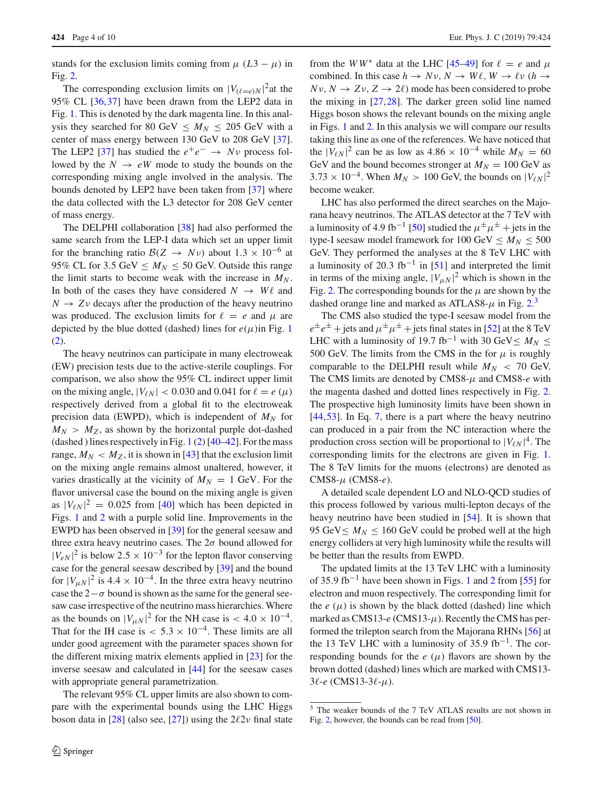stands for the exclusion limits coming from  $\mu$  ( $L3 - \mu$ ) in Fig. [2.](#page-2-4)

The corresponding exclusion limits on  $|V_{(\ell=e)N}|^2$  at the 95% CL [\[36,](#page-8-20)[37\]](#page-8-21) have been drawn from the LEP2 data in Fig. [1.](#page-2-3) This is denoted by the dark magenta line. In this analysis they searched for 80 GeV  $\leq M_N \leq 205$  GeV with a center of mass energy between 130 GeV to 208 GeV [\[37](#page-8-21)]. The LEP2 [\[37\]](#page-8-21) has studied the  $e^+e^- \rightarrow Nv$  process followed by the  $N \rightarrow eW$  mode to study the bounds on the corresponding mixing angle involved in the analysis. The bounds denoted by LEP2 have been taken from [\[37\]](#page-8-21) where the data collected with the L3 detector for 208 GeV center of mass energy.

The DELPHI collaboration [\[38\]](#page-8-22) had also performed the same search from the LEP-I data which set an upper limit for the branching ratio  $B(Z \rightarrow N\nu)$  about  $1.3 \times 10^{-6}$  at 95% CL for 3.5 GeV  $\leq M_N \leq 50$  GeV. Outside this range the limit starts to become weak with the increase in  $M_N$ . In both of the cases they have considered  $N \rightarrow W\ell$  and  $N \rightarrow Z\nu$  decays after the production of the heavy neutrino was produced. The exclusion limits for  $\ell = e$  and  $\mu$  are depicted by the blue dotted (dashed) lines for  $e(\mu)$ in Fig. [1](#page-2-3) [\(2\)](#page-2-4).

The heavy neutrinos can participate in many electroweak (EW) precision tests due to the active-sterile couplings. For comparison, we also show the 95% CL indirect upper limit on the mixing angle,  $|V_{\ell N}| < 0.030$  and 0.041 for  $\ell = e(\mu)$ respectively derived from a global fit to the electroweak precision data (EWPD), which is independent of  $M_N$  for  $M_N > M_Z$ , as shown by the horizontal purple dot-dashed (dashed ) lines respectively in Fig.  $1(2)$  $1(2)$  [\[40](#page-8-23)[–42\]](#page-8-24). For the mass range,  $M_N < M_Z$ , it is shown in [\[43\]](#page-8-25) that the exclusion limit on the mixing angle remains almost unaltered, however, it varies drastically at the vicinity of  $M_N = 1$  GeV. For the flavor universal case the bound on the mixing angle is given as  $|V_{\ell N}|^2 = 0.025$  from [\[40\]](#page-8-23) which has been depicted in Figs. [1](#page-2-3) and [2](#page-2-4) with a purple solid line. Improvements in the EWPD has been observed in [\[39](#page-8-26)] for the general seesaw and three extra heavy neutrino cases. The  $2\sigma$  bound allowed for  $|V_{eN}|^2$  is below 2.5 × 10<sup>-3</sup> for the lepton flavor conserving case for the general seesaw described by [\[39](#page-8-26)] and the bound for  $|V_{\mu N}|^2$  is 4.4 × 10<sup>-4</sup>. In the three extra heavy neutrino case the  $2-\sigma$  bound is shown as the same for the general seesaw case irrespective of the neutrino mass hierarchies. Where as the bounds on  $|V_{\mu N}|^2$  for the NH case is < 4.0 × 10<sup>-4</sup>. That for the IH case is  $< 5.3 \times 10^{-4}$ . These limits are all under good agreement with the parameter spaces shown for the different mixing matrix elements applied in [\[23\]](#page-8-9) for the inverse seesaw and calculated in [\[44\]](#page-8-27) for the seesaw cases with appropriate general parametrization.

The relevant 95% CL upper limits are also shown to compare with the experimental bounds using the LHC Higgs boson data in [\[28](#page-8-14)] (also see, [\[27\]](#page-8-13)) using the  $2\ell 2\nu$  final state

from the *WW*<sup>\*</sup> data at the LHC [\[45](#page-8-28)[–49](#page-9-0)] for  $\ell = e$  and  $\mu$ combined. In this case  $h \to Nv$ ,  $N \to W\ell$ ,  $W \to \ell v$  ( $h \to$  $Nv, N \rightarrow Zv, Z \rightarrow 2\ell$  mode has been considered to probe the mixing in [\[27](#page-8-13)[,28](#page-8-14)]. The darker green solid line named Higgs boson shows the relevant bounds on the mixing angle in Figs. [1](#page-2-3) and [2.](#page-2-4) In this analysis we will compare our results taking this line as one of the references. We have noticed that the  $|V_{\ell N}|^2$  can be as low as  $4.86 \times 10^{-4}$  while  $M_N = 60$ GeV and the bound becomes stronger at  $M_N = 100$  GeV as  $3.73 \times 10^{-4}$ . When  $M_N > 100$  GeV, the bounds on  $|V_{\ell N}|^2$ become weaker.

LHC has also performed the direct searches on the Majorana heavy neutrinos. The ATLAS detector at the 7 TeV with a luminosity of 4.9 fb<sup>-1</sup> [\[50](#page-9-1)] studied the  $\mu^{\pm}\mu^{\pm}$  + jets in the type-I seesaw model framework for  $100 \text{ GeV} \leq M_N \leq 500$ GeV. They performed the analyses at the 8 TeV LHC with a luminosity of 20.3 fb<sup>-1</sup> in [\[51\]](#page-9-2) and interpreted the limit in terms of the mixing angle,  $|V_{\mu N}|^2$  which is shown in the Fig. [2.](#page-2-4) The corresponding bounds for the  $\mu$  are shown by the dashed orange line and marked as ATLAS8- $\mu$  in Fig. [2.](#page-2-4)<sup>[3](#page-3-0)</sup>

The CMS also studied the type-I seesaw model from the  $e^{\pm}e^{\pm}$  + jets and  $\mu^{\pm}$   $\mu^{\pm}$  + jets final states in [\[52](#page-9-3)] at the 8 TeV LHC with a luminosity of 19.7 fb<sup>-1</sup> with 30 GeV $\leq M_N \leq$ 500 GeV. The limits from the CMS in the for  $\mu$  is roughly comparable to the DELPHI result while  $M_N < 70$  GeV. The CMS limits are denoted by CMS8-μ and CMS8-*e* with the magenta dashed and dotted lines respectively in Fig. [2.](#page-2-4) The prospective high luminosity limits have been shown in [\[44](#page-8-27),[53\]](#page-9-4). In Eq. [7,](#page-2-2) there is a part where the heavy neutrino can produced in a pair from the NC interaction where the production cross section will be proportional to  $|V_{\ell N}|^4$ . The corresponding limits for the electrons are given in Fig. [1.](#page-2-3) The 8 TeV limits for the muons (electrons) are denoted as CMS8-μ (CMS8-*e*).

A detailed scale dependent LO and NLO-QCD studies of this process followed by various multi-lepton decays of the heavy neutrino have been studied in [\[54](#page-9-5)]. It is shown that 95 GeV  $\leq M_N \leq 160$  GeV could be probed well at the high energy colliders at very high luminosity while the results will be better than the results from EWPD.

The updated limits at the 13 TeV LHC with a luminosity of 35.9 fb<sup>-[1](#page-2-3)</sup> have been shown in Figs. 1 and [2](#page-2-4) from [\[55\]](#page-9-6) for electron and muon respectively. The corresponding limit for the  $e(\mu)$  is shown by the black dotted (dashed) line which marked as CMS13- $e$  (CMS13- $\mu$ ). Recently the CMS has performed the trilepton search from the Majorana RHNs [\[56\]](#page-9-7) at the 13 TeV LHC with a luminosity of 35.9 fb<sup>-1</sup>. The corresponding bounds for the  $e(\mu)$  flavors are shown by the brown dotted (dashed) lines which are marked with CMS13-  $3\ell$ *-e* (CMS13-3 $\ell$ *-* $\mu$ ).

<span id="page-3-0"></span><sup>3</sup> The weaker bounds of the 7 TeV ATLAS results are not shown in Fig. [2,](#page-2-4) however, the bounds can be read from [\[50](#page-9-1)].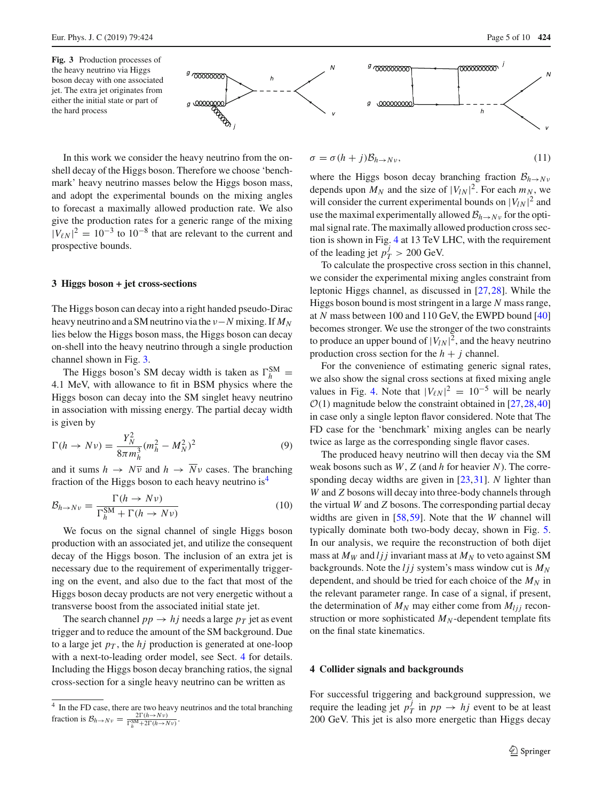<span id="page-4-2"></span>**Fig. 3** Production processes of the heavy neutrino via Higgs boson decay with one associated jet. The extra jet originates from either the initial state or part of the hard process



In this work we consider the heavy neutrino from the onshell decay of the Higgs boson. Therefore we choose 'benchmark' heavy neutrino masses below the Higgs boson mass, and adopt the experimental bounds on the mixing angles to forecast a maximally allowed production rate. We also give the production rates for a generic range of the mixing  $|V_{\ell N}|^2 = 10^{-3}$  to  $10^{-8}$  that are relevant to the current and prospective bounds.

### <span id="page-4-0"></span>**3 Higgs boson + jet cross-sections**

The Higgs boson can decay into a right handed pseudo-Dirac heavy neutrino and a SM neutrino via the ν−*N* mixing. If *MN* lies below the Higgs boson mass, the Higgs boson can decay on-shell into the heavy neutrino through a single production channel shown in Fig. [3.](#page-4-2)

The Higgs boson's SM decay width is taken as  $\Gamma_h^{\text{SM}} =$ 4.1 MeV, with allowance to fit in BSM physics where the Higgs boson can decay into the SM singlet heavy neutrino in association with missing energy. The partial decay width is given by

$$
\Gamma(h \to N\nu) = \frac{Y_N^2}{8\pi m_h^3} (m_h^2 - M_N^2)^2
$$
\n(9)

and it sums  $h \to N\overline{v}$  and  $h \to \overline{N}v$  cases. The branching fraction of the Higgs boson to each heavy neutrino is<sup>[4](#page-4-3)</sup>

<span id="page-4-4"></span>
$$
\mathcal{B}_{h \to N\nu} = \frac{\Gamma(h \to N\nu)}{\Gamma_h^{\text{SM}} + \Gamma(h \to N\nu)} \tag{10}
$$

We focus on the signal channel of single Higgs boson production with an associated jet, and utilize the consequent decay of the Higgs boson. The inclusion of an extra jet is necessary due to the requirement of experimentally triggering on the event, and also due to the fact that most of the Higgs boson decay products are not very energetic without a transverse boost from the associated initial state jet.

The search channel  $pp \rightarrow hj$  needs a large  $p_T$  jet as event trigger and to reduce the amount of the SM background. Due to a large jet  $p<sub>T</sub>$ , the *hj* production is generated at one-loop with a next-to-leading order model, see Sect. [4](#page-4-1) for details. Including the Higgs boson decay branching ratios, the signal cross-section for a single heavy neutrino can be written as

$$
\sigma = \sigma (h+j) \mathcal{B}_{h \to N \nu}, \qquad (11)
$$

where the Higgs boson decay branching fraction  $B_{h\to N\nu}$ depends upon  $M_N$  and the size of  $|V_{lN}|^2$ . For each  $m_N$ , we will consider the current experimental bounds on  $|V_{IN}|^2$  and use the maximal experimentally allowed  $B_{h\to N}$  for the optimal signal rate. The maximally allowed production cross section is shown in Fig. [4](#page-5-0) at 13 TeV LHC, with the requirement of the leading jet  $p_T^j > 200$  GeV.

To calculate the prospective cross section in this channel, we consider the experimental mixing angles constraint from leptonic Higgs channel, as discussed in [\[27](#page-8-13),[28\]](#page-8-14). While the Higgs boson bound is most stringent in a large *N* mass range, at *N* mass between 100 and 110 GeV, the EWPD bound [\[40\]](#page-8-23) becomes stronger. We use the stronger of the two constraints to produce an upper bound of  $|V_{lN}|^2$ , and the heavy neutrino production cross section for the  $h + j$  channel.

For the convenience of estimating generic signal rates, we also show the signal cross sections at fixed mixing angle values in Fig. [4.](#page-5-0) Note that  $|V_{\ell N}|^2 = 10^{-5}$  will be nearly  $O(1)$  magnitude below the constraint obtained in [\[27](#page-8-13),[28,](#page-8-14)[40\]](#page-8-23) in case only a single lepton flavor considered. Note that The FD case for the 'benchmark' mixing angles can be nearly twice as large as the corresponding single flavor cases.

The produced heavy neutrino will then decay via the SM weak bosons such as *W*, *Z* (and *h* for heavier *N*). The corresponding decay widths are given in [\[23](#page-8-9)[,31](#page-8-18)]. *N* lighter than *W* and *Z* bosons will decay into three-body channels through the virtual *W* and *Z* bosons. The corresponding partial decay widths are given in [\[58,](#page-9-8)[59\]](#page-9-9). Note that the *W* channel will typically dominate both two-body decay, shown in Fig. [5.](#page-5-1) In our analysis, we require the reconstruction of both dijet mass at  $M_W$  and *ljj* invariant mass at  $M_N$  to veto against SM backgrounds. Note the *ljj* system's mass window cut is *MN* dependent, and should be tried for each choice of the  $M_N$  in the relevant parameter range. In case of a signal, if present, the determination of  $M_N$  may either come from  $M_{lij}$  reconstruction or more sophisticated  $M_N$ -dependent template fits on the final state kinematics.

#### <span id="page-4-1"></span>**4 Collider signals and backgrounds**

For successful triggering and background suppression, we require the leading jet  $p_T^j$  in  $pp \rightarrow hj$  event to be at least 200 GeV. This jet is also more energetic than Higgs decay

 $\Lambda$ 

<span id="page-4-3"></span><sup>&</sup>lt;sup>4</sup> In the FD case, there are two heavy neutrinos and the total branching fraction is  $\mathcal{B}_{h \to N\nu} = \frac{2\Gamma(h \to N\nu)}{\Gamma_h^{\text{SM}} + 2\Gamma(h \to N\nu)}$ .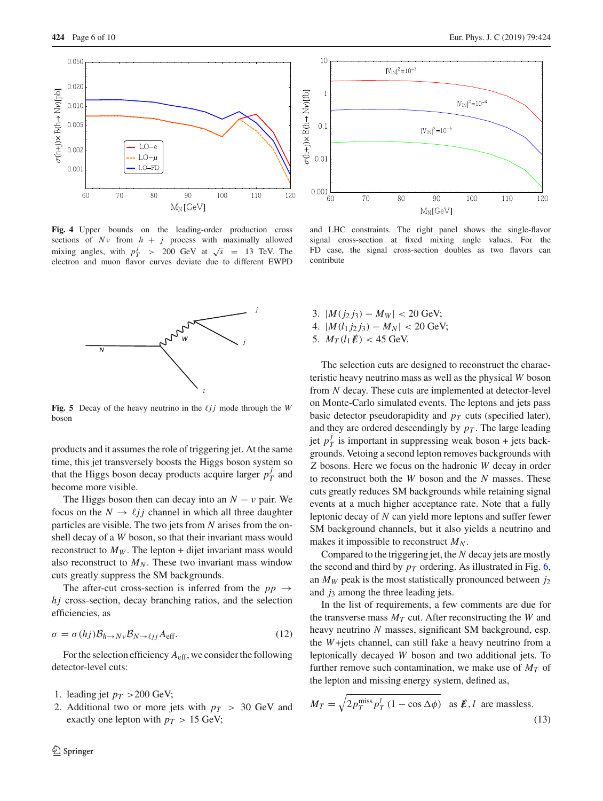

<span id="page-5-0"></span>**Fig. 4** Upper bounds on the leading-order production cross sections of  $Nv$  from  $h + j$  process with maximally allowed mixing angles, with  $p_T^j$  > 200 GeV at  $\sqrt{s}$  = 13 TeV. The electron and muon flavor curves deviate due to different EWPD



<span id="page-5-1"></span>**Fig. 5** Decay of the heavy neutrino in the  $\ell j j$  mode through the *W* boson

products and it assumes the role of triggering jet. At the same time, this jet transversely boosts the Higgs boson system so that the Higgs boson decay products acquire larger  $p_T^j$  and become more visible.

The Higgs boson then can decay into an  $N - v$  pair. We focus on the  $N \rightarrow \ell j j$  channel in which all three daughter particles are visible. The two jets from *N* arises from the onshell decay of a *W* boson, so that their invariant mass would reconstruct to  $M_W$ . The lepton + dijet invariant mass would also reconstruct to  $M_N$ . These two invariant mass window cuts greatly suppress the SM backgrounds.

The after-cut cross-section is inferred from the  $pp \rightarrow$ *hj* cross-section, decay branching ratios, and the selection efficiencies, as

$$
\sigma = \sigma(hj) \mathcal{B}_{h \to N\nu} \mathcal{B}_{N \to \ell j j} A_{\text{eff}}.
$$
 (12)

For the selection efficiency *A*eff, we consider the following detector-level cuts:

- 1. leading jet  $p_T > 200$  GeV;
- 2. Additional two or more jets with  $p_T > 30$  GeV and exactly one lepton with  $p_T > 15$  GeV;



and LHC constraints. The right panel shows the single-flavor signal cross-section at fixed mixing angle values. For the FD case, the signal cross-section doubles as two flavors can contribute

3.  $|M(j_2 j_3) - M_W| < 20$  GeV; 4.  $|M(l_1 j_2 j_3) - M_N| < 20$  GeV; 5.  $M_T(l_1 \cancel{E}) < 45$  GeV.

The selection cuts are designed to reconstruct the characteristic heavy neutrino mass as well as the physical *W* boson from *N* decay. These cuts are implemented at detector-level on Monte-Carlo simulated events. The leptons and jets pass basic detector pseudorapidity and  $p_T$  cuts (specified later), and they are ordered descendingly by  $p<sub>T</sub>$ . The large leading jet  $p_T^j$  is important in suppressing weak boson + jets backgrounds. Vetoing a second lepton removes backgrounds with *Z* bosons. Here we focus on the hadronic *W* decay in order to reconstruct both the *W* boson and the *N* masses. These cuts greatly reduces SM backgrounds while retaining signal events at a much higher acceptance rate. Note that a fully leptonic decay of *N* can yield more leptons and suffer fewer SM background channels, but it also yields a neutrino and makes it impossible to reconstruct  $M_N$ .

Compared to the triggering jet, the *N* decay jets are mostly the second and third by  $p_T$  ordering. As illustrated in Fig. [6,](#page-6-0) an  $M_W$  peak is the most statistically pronounced between  $j_2$ and  $j_3$  among the three leading jets.

In the list of requirements, a few comments are due for the transverse mass  $M_T$  cut. After reconstructing the *W* and heavy neutrino *N* masses, significant SM background, esp. the *W*+jets channel, can still fake a heavy neutrino from a leptonically decayed *W* boson and two additional jets. To further remove such contamination, we make use of  $M<sub>T</sub>$  of the lepton and missing energy system, defined as,

$$
M_T = \sqrt{2p_T^{\text{miss}}} p_T^l (1 - \cos \Delta \phi) \text{ as } \mathcal{E}, l \text{ are massless.}
$$
\n(13)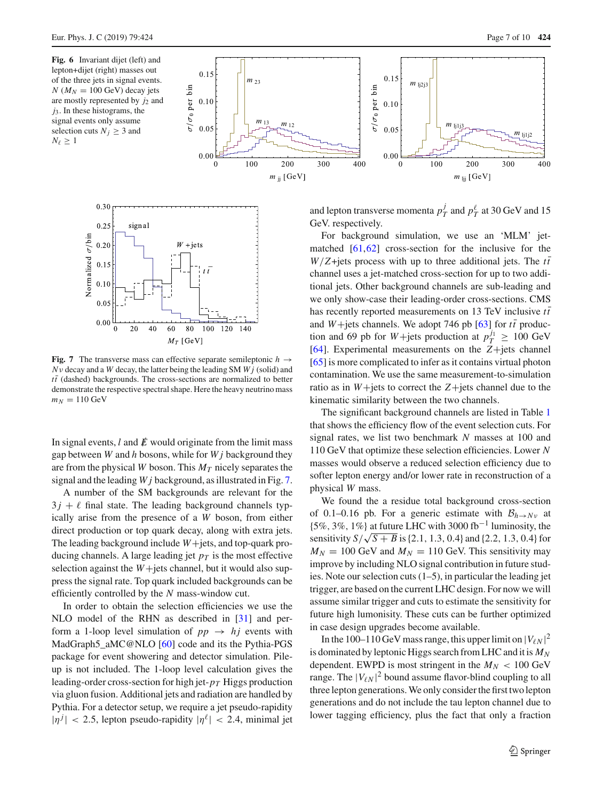<span id="page-6-0"></span>**Fig. 6** Invariant dijet (left) and lepton+dijet (right) masses out of the three jets in signal events.  $N$  ( $M_N = 100$  GeV) decay jets are mostly represented by *j*<sup>2</sup> and *j*3. In these histograms, the signal events only assume selection cuts  $N_j \geq 3$  and  $N_{\ell} \geq 1$ 





<span id="page-6-1"></span>**Fig. 7** The transverse mass can effective separate semileptonic  $h \rightarrow$ *N*ν decay and a *W* decay, the latter being the leading SM *W j* (solid) and  $t\bar{t}$  (dashed) backgrounds. The cross-sections are normalized to better demonstrate the respective spectral shape. Here the heavy neutrino mass  $m_N = 110 \text{ GeV}$ 

In signal events,  $l$  and  $\vec{E}$  would originate from the limit mass gap between *W* and *h* bosons, while for *W j* background they are from the physical *W* boson. This  $M_T$  nicely separates the signal and the leading *W j* background, as illustrated in Fig. [7.](#page-6-1)

A number of the SM backgrounds are relevant for the  $3j + \ell$  final state. The leading background channels typically arise from the presence of a *W* boson, from either direct production or top quark decay, along with extra jets. The leading background include *W*+jets, and top-quark producing channels. A large leading jet  $p<sub>T</sub>$  is the most effective selection against the *W*+jets channel, but it would also suppress the signal rate. Top quark included backgrounds can be efficiently controlled by the *N* mass-window cut.

In order to obtain the selection efficiencies we use the NLO model of the RHN as described in [\[31\]](#page-8-18) and perform a 1-loop level simulation of  $pp \rightarrow hj$  events with MadGraph5\_aMC@NLO [\[60\]](#page-9-10) code and its the Pythia-PGS package for event showering and detector simulation. Pileup is not included. The 1-loop level calculation gives the leading-order cross-section for high jet-*pT* Higgs production via gluon fusion. Additional jets and radiation are handled by Pythia. For a detector setup, we require a jet pseudo-rapidity  $|\eta^j|$  < 2.5, lepton pseudo-rapidity  $|\eta^{\ell}|$  < 2.4, minimal jet

and lepton transverse momenta  $p_T^j$  and  $p_T^{\ell}$  at 30 GeV and 15 GeV. respectively.

For background simulation, we use an 'MLM' jetmatched [\[61](#page-9-11)[,62](#page-9-12)] cross-section for the inclusive for the  $W/Z + \text{jets}$  process with up to three additional jets. The  $t\bar{t}$ channel uses a jet-matched cross-section for up to two additional jets. Other background channels are sub-leading and we only show-case their leading-order cross-sections. CMS has recently reported measurements on 13 TeV inclusive  $t\bar{t}$ and *W*+jets channels. We adopt 746 pb [\[63\]](#page-9-13) for  $t\bar{t}$  production and 69 pb for *W*+jets production at  $p_T^{j_1} \ge 100 \text{ GeV}$ [\[64](#page-9-14)]. Experimental measurements on the *Z*+jets channel [\[65](#page-9-15)] is more complicated to infer as it contains virtual photon contamination. We use the same measurement-to-simulation ratio as in *W*+jets to correct the *Z*+jets channel due to the kinematic similarity between the two channels.

The significant background channels are listed in Table [1](#page-7-5) that shows the efficiency flow of the event selection cuts. For signal rates, we list two benchmark *N* masses at 100 and 110 GeV that optimize these selection efficiencies. Lower *N* masses would observe a reduced selection efficiency due to softer lepton energy and/or lower rate in reconstruction of a physical *W* mass.

We found the a residue total background cross-section of 0.1–0.16 pb. For a generic estimate with  $B_{h\to Nv}$  at  ${5\%, 3\%, 1\%}$  at future LHC with 3000 fb<sup>-1</sup> luminosity, the sensitivity  $S/\sqrt{S+B}$  is {2.1, 1.3, 0.4} and {2.2, 1.3, 0.4} for  $M_N = 100$  GeV and  $M_N = 110$  GeV. This sensitivity may improve by including NLO signal contribution in future studies. Note our selection cuts (1–5), in particular the leading jet trigger, are based on the current LHC design. For now we will assume similar trigger and cuts to estimate the sensitivity for future high lumonisity. These cuts can be further optimized in case design upgrades become available.

In the 100–110 GeV mass range, this upper limit on  $|V_{\ell N}|^2$ is dominated by leptonic Higgs search from LHC and it is  $M_N$ dependent. EWPD is most stringent in the  $M_N < 100$  GeV range. The  $|V_{\ell N}|^2$  bound assume flavor-blind coupling to all three lepton generations. We only consider the first two lepton generations and do not include the tau lepton channel due to lower tagging efficiency, plus the fact that only a fraction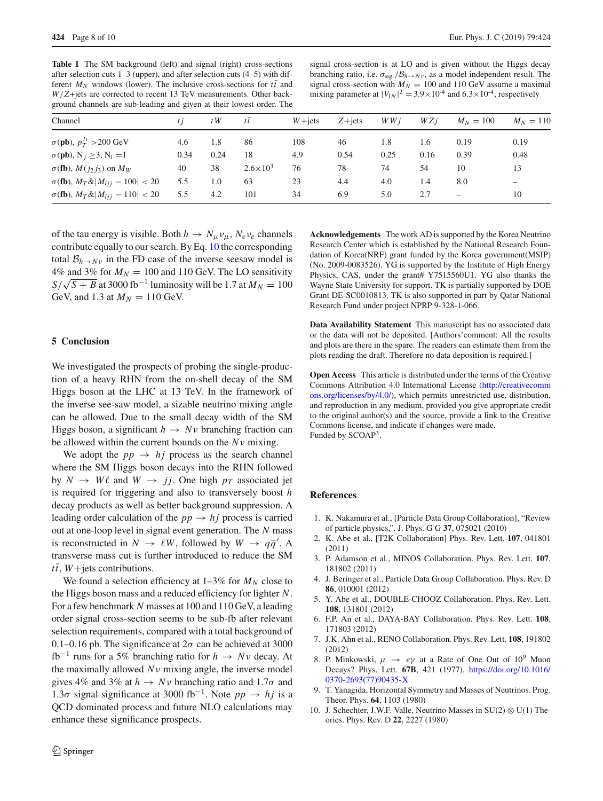<span id="page-7-5"></span>Table 1 The SM background (left) and signal (right) cross-sections after selection cuts 1–3 (upper), and after selection cuts (4–5) with different  $M_N$  windows (lower). The inclusive cross-sections for  $t\bar{t}$  and *W*/*Z*+jets are corrected to recent 13 TeV measurements. Other background channels are sub-leading and given at their lowest order. The

signal cross-section is at LO and is given without the Higgs decay branching ratio, i.e.  $\sigma_{\rm sig}/B_{h\rightarrow Nv}$ , as a model independent result. The signal cross-section with  $M_N = 100$  and 110 GeV assume a maximal mixing parameter at  $|V_{IN}|^2 = 3.9 \times 10^{-4}$  and  $6.3 \times 10^{-4}$ , respectively

| Channel                                                   |      | t W  | $t\bar{t}$          | $W + iets$ | $Z + iets$ | WW <sub>i</sub> | WZi  | $M_N = 100$              | $M_N = 110$ |
|-----------------------------------------------------------|------|------|---------------------|------------|------------|-----------------|------|--------------------------|-------------|
| $\sigma$ (pb), $p_T^{J_1} > 200$ GeV                      | 4.6  | 1.8  | 86                  | 108        | 46         | 1.8             | 1.6  | 0.19                     | 0.19        |
| $\sigma$ (pb), N <sub>i</sub> $\geq$ 3, N <sub>i</sub> =1 | 0.34 | 0.24 | 18                  | 4.9        | 0.54       | 0.25            | 0.16 | 0.39                     | 0.48        |
| $\sigma$ (fb), $M(j_2 j_3)$ on $M_W$                      | 40   | 38   | $2.6 \times 10^{3}$ | 76         | 78         | 74              | 54   | 10                       | 13          |
| $\sigma$ (fb), $M_T \&  M_{lij} - 100  < 20$              | 5.5  | 1.0  | 63                  | 23         | 4.4        | 4.0             | 1.4  | 8.0                      | -           |
| $\sigma$ (fb), $M_T \&  M_{lij} - 110  < 20$              | 5.5  | 4.2  | 101                 | 34         | 6.9        | 5.0             | 2.7  | $\overline{\phantom{0}}$ | 10          |

of the tau energy is visible. Both  $h \to N_\mu v_\mu$ ,  $N_e v_e$  channels contribute equally to our search. By Eq. [10](#page-4-4) the corresponding total  $B_{h\to N\nu}$  in the FD case of the inverse seesaw model is 4% and 3% for  $M_N = 100$  and 110 GeV. The LO sensitivity  $S/\sqrt{S+B}$  at 3000 fb<sup>-1</sup> luminosity will be 1.7 at  $M_N = 100$ GeV, and 1.3 at  $M_N = 110$  GeV.

## <span id="page-7-4"></span>**5 Conclusion**

We investigated the prospects of probing the single-production of a heavy RHN from the on-shell decay of the SM Higgs boson at the LHC at 13 TeV. In the framework of the inverse see-saw model, a sizable neutrino mixing angle can be allowed. Due to the small decay width of the SM Higgs boson, a significant  $h \to Nv$  branching fraction can be allowed within the current bounds on the *N*ν mixing.

We adopt the  $pp \rightarrow hj$  process as the search channel where the SM Higgs boson decays into the RHN followed by  $N \rightarrow W\ell$  and  $W \rightarrow jj$ . One high  $p_T$  associated jet is required for triggering and also to transversely boost *h* decay products as well as better background suppression. A leading order calculation of the  $pp \rightarrow hj$  process is carried out at one-loop level in signal event generation. The *N* mass is reconstructed in  $N \to \ell W$ , followed by  $W \to q\bar{q}'$ . A transverse mass cut is further introduced to reduce the SM  $t\bar{t}$ , *W*+jets contributions.

We found a selection efficiency at  $1-3\%$  for  $M_N$  close to the Higgs boson mass and a reduced efficiency for lighter *N*. For a few benchmark *N* masses at 100 and 110 GeV, a leading order signal cross-section seems to be sub-fb after relevant selection requirements, compared with a total background of 0.1–0.16 pb. The significance at  $2\sigma$  can be achieved at 3000  $fb^{-1}$  runs for a 5% branching ratio for  $h \to Nv$  decay. At the maximally allowed *N*ν mixing angle, the inverse model gives 4% and 3% at  $h \to Nv$  branching ratio and 1.7 $\sigma$  and 1.3σ signal significance at 3000 fb<sup>-1</sup>. Note *pp* → *hj* is a QCD dominated process and future NLO calculations may enhance these significance prospects.

**Acknowledgements** The work AD is supported by the Korea Neutrino Research Center which is established by the National Research Foundation of Korea(NRF) grant funded by the Korea government(MSIP) (No. 2009-0083526). YG is supported by the Institute of High Energy Physics, CAS, under the grant# Y7515560U1. YG also thanks the Wayne State University for support. TK is partially supported by DOE Grant DE-SC0010813. TK is also supported in part by Qatar National Research Fund under project NPRP 9-328-1-066.

**Data Availability Statement** This manuscript has no associated data or the data will not be deposited. [Authors'comment: All the results and plots are there in the spare. The readers can estimate them from the plots reading the draft. Therefore no data deposition is required.]

**Open Access** This article is distributed under the terms of the Creative Commons Attribution 4.0 International License [\(http://creativecomm](http://creativecommons.org/licenses/by/4.0/) [ons.org/licenses/by/4.0/\)](http://creativecommons.org/licenses/by/4.0/), which permits unrestricted use, distribution, and reproduction in any medium, provided you give appropriate credit to the original author(s) and the source, provide a link to the Creative Commons license, and indicate if changes were made. Funded by SCOAP3.

### **References**

- <span id="page-7-0"></span>1. K. Nakamura et al., [Particle Data Group Collaboration], "Review of particle physics,". J. Phys. G G **37**, 075021 (2010)
- <span id="page-7-1"></span>2. K. Abe et al., [T2K Collaboration] Phys. Rev. Lett. **107**, 041801 (2011)
- 3. P. Adamson et al., MINOS Collaboration. Phys. Rev. Lett. **107**, 181802 (2011)
- 4. J. Beringer et al., Particle Data Group Collaboration. Phys. Rev. D **86**, 010001 (2012)
- 5. Y. Abe et al., DOUBLE-CHOOZ Collaboration. Phys. Rev. Lett. **108**, 131801 (2012)
- 6. F.P. An et al., DAYA-BAY Collaboration. Phys. Rev. Lett. **108**, 171803 (2012)
- <span id="page-7-2"></span>7. J.K. Ahn et al., RENO Collaboration. Phys. Rev. Lett. **108**, 191802 (2012)
- <span id="page-7-3"></span>8. P. Minkowski,  $\mu \rightarrow e\gamma$  at a Rate of One Out of 10<sup>9</sup> Muon Decays? Phys. Lett. **67B**, 421 (1977). [https://doi.org/10.1016/](https://doi.org/10.1016/0370-2693(77)90435-X) [0370-2693\(77\)90435-X](https://doi.org/10.1016/0370-2693(77)90435-X)
- 9. T. Yanagida, Horizontal Symmetry and Masses of Neutrinos. Prog. Theor. Phys. **64**, 1103 (1980)
- 10. J. Schechter, J.W.F. Valle, Neutrino Masses in  $SU(2) \otimes U(1)$  Theories. Phys. Rev. D **22**, 2227 (1980)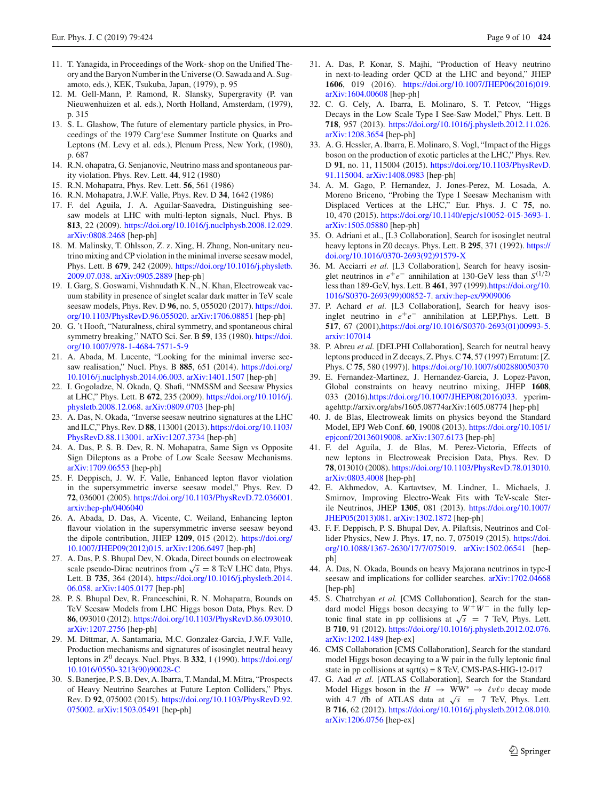- 11. T. Yanagida, in Proceedings of the Work- shop on the Unified Theory and the Baryon Number in the Universe (O. Sawada and A. Sugamoto, eds.), KEK, Tsukuba, Japan, (1979), p. 95
- 12. M. Gell-Mann, P. Ramond, R. Slansky, Supergravity (P. van Nieuwenhuizen et al. eds.), North Holland, Amsterdam, (1979), p. 315
- 13. S. L. Glashow, The future of elementary particle physics, in Proceedings of the 1979 Carg'ese Summer Institute on Quarks and Leptons (M. Levy et al. eds.), Plenum Press, New York, (1980), p. 687
- <span id="page-8-0"></span>14. R.N. ohapatra, G. Senjanovic, Neutrino mass and spontaneous parity violation. Phys. Rev. Lett. **44**, 912 (1980)
- <span id="page-8-1"></span>15. R.N. Mohapatra, Phys. Rev. Lett. **56**, 561 (1986)
- <span id="page-8-2"></span>16. R.N. Mohapatra, J.W.F. Valle, Phys. Rev. D **34**, 1642 (1986)
- <span id="page-8-3"></span>17. F. del Aguila, J. A. Aguilar-Saavedra, Distinguishing seesaw models at LHC with multi-lepton signals, Nucl. Phys. B **813**, 22 (2009). [https://doi.org/10.1016/j.nuclphysb.2008.12.029.](https://doi.org/10.1016/j.nuclphysb.2008.12.029) [arXiv:0808.2468](http://arxiv.org/abs/0808.2468) [hep-ph]
- <span id="page-8-4"></span>18. M. Malinsky, T. Ohlsson, Z. z. Xing, H. Zhang, Non-unitary neutrino mixing and CP violation in the minimal inverse seesaw model, Phys. Lett. B **679**, 242 (2009). [https://doi.org/10.1016/j.physletb.](https://doi.org/10.1016/j.physletb.2009.07.038) [2009.07.038.](https://doi.org/10.1016/j.physletb.2009.07.038) [arXiv:0905.2889](http://arxiv.org/abs/0905.2889) [hep-ph]
- <span id="page-8-5"></span>19. I. Garg, S. Goswami, Vishnudath K. N., N. Khan, Electroweak vacuum stability in presence of singlet scalar dark matter in TeV scale seesaw models, Phys. Rev. D **96**, no. 5, 055020 (2017). [https://doi.](https://doi.org/10.1103/PhysRevD.96.055020) [org/10.1103/PhysRevD.96.055020.](https://doi.org/10.1103/PhysRevD.96.055020) [arXiv:1706.08851](http://arxiv.org/abs/1706.08851) [hep-ph]
- <span id="page-8-6"></span>20. G. 't Hooft, "Naturalness, chiral symmetry, and spontaneous chiral symmetry breaking," NATO Sci. Ser. B **59**, 135 (1980). [https://doi.](https://doi.org/10.1007/978-1-4684-7571-5-9) [org/10.1007/978-1-4684-7571-5-9](https://doi.org/10.1007/978-1-4684-7571-5-9)
- <span id="page-8-7"></span>21. A. Abada, M. Lucente, "Looking for the minimal inverse seesaw realisation," Nucl. Phys. B **885**, 651 (2014). [https://doi.org/](https://doi.org/10.1016/j.nuclphysb.2014.06.003) [10.1016/j.nuclphysb.2014.06.003.](https://doi.org/10.1016/j.nuclphysb.2014.06.003) [arXiv:1401.1507](http://arxiv.org/abs/1401.1507) [hep-ph]
- <span id="page-8-8"></span>22. I. Gogoladze, N. Okada, Q. Shafi, "NMSSM and Seesaw Physics at LHC," Phys. Lett. B **672**, 235 (2009). [https://doi.org/10.1016/j.](https://doi.org/10.1016/j.physletb.2008.12.068) [physletb.2008.12.068.](https://doi.org/10.1016/j.physletb.2008.12.068) [arXiv:0809.0703](http://arxiv.org/abs/0809.0703) [hep-ph]
- <span id="page-8-9"></span>23. A. Das, N. Okada, "Inverse seesaw neutrino signatures at the LHC and ILC," Phys. Rev. D **88**, 113001 (2013). [https://doi.org/10.1103/](https://doi.org/10.1103/PhysRevD.88.113001) [PhysRevD.88.113001.](https://doi.org/10.1103/PhysRevD.88.113001) [arXiv:1207.3734](http://arxiv.org/abs/1207.3734) [hep-ph]
- <span id="page-8-12"></span>24. A. Das, P. S. B. Dev, R. N. Mohapatra, Same Sign vs Opposite Sign Dileptons as a Probe of Low Scale Seesaw Mechanisms. [arXiv:1709.06553](http://arxiv.org/abs/1709.06553) [hep-ph]
- <span id="page-8-10"></span>25. F. Deppisch, J. W. F. Valle, Enhanced lepton flavor violation in the supersymmetric inverse seesaw model," Phys. Rev. D **72**, 036001 (2005). [https://doi.org/10.1103/PhysRevD.72.036001.](https://doi.org/10.1103/PhysRevD.72.036001) [arxiv:hep-ph/0406040](http://arxiv.org/abs/hep-ph/0406040)
- <span id="page-8-11"></span>26. A. Abada, D. Das, A. Vicente, C. Weiland, Enhancing lepton flavour violation in the supersymmetric inverse seesaw beyond the dipole contribution, JHEP **1209**, 015 (2012). [https://doi.org/](https://doi.org/10.1007/JHEP09(2012)015) [10.1007/JHEP09\(2012\)015.](https://doi.org/10.1007/JHEP09(2012)015) [arXiv:1206.6497](http://arxiv.org/abs/1206.6497) [hep-ph]
- <span id="page-8-13"></span>27. A. Das, P. S. Bhupal Dev, N. Okada, Direct bounds on electroweak scale pseudo-Dirac neutrinos from  $\sqrt{s} = 8$  TeV LHC data, Phys. Lett. B **735**, 364 (2014). [https://doi.org/10.1016/j.physletb.2014.](https://doi.org/10.1016/j.physletb.2014.06.058) [06.058.](https://doi.org/10.1016/j.physletb.2014.06.058) [arXiv:1405.0177](http://arxiv.org/abs/1405.0177) [hep-ph]
- <span id="page-8-14"></span>28. P. S. Bhupal Dev, R. Franceschini, R. N. Mohapatra, Bounds on TeV Seesaw Models from LHC Higgs boson Data, Phys. Rev. D **86**, 093010 (2012). [https://doi.org/10.1103/PhysRevD.86.093010.](https://doi.org/10.1103/PhysRevD.86.093010) [arXiv:1207.2756](http://arxiv.org/abs/1207.2756) [hep-ph]
- <span id="page-8-17"></span>29. M. Dittmar, A. Santamaria, M.C. Gonzalez-Garcia, J.W.F. Valle, Production mechanisms and signatures of isosinglet neutral heavy leptons in  $Z^0$  decays. Nucl. Phys. B 332, 1 (1990). [https://doi.org/](https://doi.org/10.1016/0550-3213(90)90028-C) [10.1016/0550-3213\(90\)90028-C](https://doi.org/10.1016/0550-3213(90)90028-C)
- 30. S. Banerjee, P. S. B. Dev, A. Ibarra, T. Mandal, M. Mitra, "Prospects of Heavy Neutrino Searches at Future Lepton Colliders," Phys. Rev. D **92**, 075002 (2015). [https://doi.org/10.1103/PhysRevD.92.](https://doi.org/10.1103/PhysRevD.92.075002) [075002.](https://doi.org/10.1103/PhysRevD.92.075002) [arXiv:1503.05491](http://arxiv.org/abs/1503.05491) [hep-ph]
- <span id="page-8-18"></span>31. A. Das, P. Konar, S. Majhi, "Production of Heavy neutrino in next-to-leading order QCD at the LHC and beyond," JHEP **1606**, 019 (2016). [https://doi.org/10.1007/JHEP06\(2016\)019.](https://doi.org/10.1007/JHEP06(2016)019) [arXiv:1604.00608](http://arxiv.org/abs/1604.00608) [hep-ph]
- <span id="page-8-15"></span>32. C. G. Cely, A. Ibarra, E. Molinaro, S. T. Petcov, "Higgs Decays in the Low Scale Type I See-Saw Model," Phys. Lett. B **718**, 957 (2013). [https://doi.org/10.1016/j.physletb.2012.11.026.](https://doi.org/10.1016/j.physletb.2012.11.026) [arXiv:1208.3654](http://arxiv.org/abs/1208.3654) [hep-ph]
- 33. A. G. Hessler, A. Ibarra, E. Molinaro, S. Vogl, "Impact of the Higgs boson on the production of exotic particles at the LHC," Phys. Rev. D **91**, no. 11, 115004 (2015). [https://doi.org/10.1103/PhysRevD.](https://doi.org/10.1103/PhysRevD.91.115004) [91.115004.](https://doi.org/10.1103/PhysRevD.91.115004) [arXiv:1408.0983](http://arxiv.org/abs/1408.0983) [hep-ph]
- <span id="page-8-16"></span>34. A. M. Gago, P. Hernandez, J. Jones-Perez, M. Losada, A. Moreno Briceno, "Probing the Type I Seesaw Mechanism with Displaced Vertices at the LHC," Eur. Phys. J. C **75**, no. 10, 470 (2015). [https://doi.org/10.1140/epjc/s10052-015-3693-1.](https://doi.org/10.1140/epjc/s10052-015-3693-1) [arXiv:1505.05880](http://arxiv.org/abs/1505.05880) [hep-ph]
- <span id="page-8-19"></span>35. O. Adriani et al., [L3 Collaboration], Search for isosinglet neutral heavy leptons in Z0 decays. Phys. Lett. B **295**, 371 (1992). [https://](https://doi.org/10.1016/0370-2693(92)91579-X) [doi.org/10.1016/0370-2693\(92\)91579-X](https://doi.org/10.1016/0370-2693(92)91579-X)
- <span id="page-8-20"></span>36. M. Acciarri *et al.* [L3 Collaboration], Search for heavy isosinglet neutrinos in  $e^+e^-$  annihilation at 130-GeV less than  $S^{(1/2)}$ less than 189-GeV, hys. Lett. B **461**, 397 (1999)[.https://doi.org/10.](https://doi.org/10.1016/S0370-2693(99)00852-7) [1016/S0370-2693\(99\)00852-7.](https://doi.org/10.1016/S0370-2693(99)00852-7) [arxiv:hep-ex/9909006](http://arxiv.org/abs/hep-ex/9909006)
- <span id="page-8-21"></span>37. P. Achard *et al.* [L3 Collaboration], Search for heavy isosinglet neutrino in  $e^+e^-$  annihilation at LEP, Phys. Lett. B **517**, 67 (2001)[,https://doi.org/10.1016/S0370-2693\(01\)00993-5.](https://doi.org/10.1016/S0370-2693(01)00993-5) [arxiv:107014](http://arxiv.org/abs/107014)
- <span id="page-8-22"></span>38. P. Abreu *et al.* [DELPHI Collaboration], Search for neutral heavy leptons produced in Z decays, Z. Phys. C**74**, 57 (1997) Erratum: [Z. Phys. C **75**, 580 (1997)]. <https://doi.org/10.1007/s002880050370>
- <span id="page-8-26"></span>39. E. Fernandez-Martinez, J. Hernandez-Garcia, J. Lopez-Pavon, Global constraints on heavy neutrino mixing, JHEP **1608**, 033 (2016)[.https://doi.org/10.1007/JHEP08\(2016\)033.](https://doi.org/10.1007/JHEP08(2016)033) yperimagehttp://arxiv.org/abs/1605.08774arXiv:1605.08774 [hep-ph]
- <span id="page-8-23"></span>40. J. de Blas, Electroweak limits on physics beyond the Standard Model, EPJ Web Conf. **60**, 19008 (2013). [https://doi.org/10.1051/](https://doi.org/10.1051/epjconf/20136019008) [epjconf/20136019008.](https://doi.org/10.1051/epjconf/20136019008) [arXiv:1307.6173](http://arxiv.org/abs/1307.6173) [hep-ph]
- 41. F. del Aguila, J. de Blas, M. Perez-Victoria, Effects of new leptons in Electroweak Precision Data, Phys. Rev. D **78**, 013010 (2008). [https://doi.org/10.1103/PhysRevD.78.013010.](https://doi.org/10.1103/PhysRevD.78.013010) [arXiv:0803.4008](http://arxiv.org/abs/0803.4008) [hep-ph]
- <span id="page-8-24"></span>42. E. Akhmedov, A. Kartavtsev, M. Lindner, L. Michaels, J. Smirnov, Improving Electro-Weak Fits with TeV-scale Sterile Neutrinos, JHEP **1305**, 081 (2013). [https://doi.org/10.1007/](https://doi.org/10.1007/JHEP05(2013)081) [JHEP05\(2013\)081.](https://doi.org/10.1007/JHEP05(2013)081) [arXiv:1302.1872](http://arxiv.org/abs/1302.1872) [hep-ph]
- <span id="page-8-25"></span>43. F. F. Deppisch, P. S. Bhupal Dev, A. Pilaftsis, Neutrinos and Collider Physics, New J. Phys. **17**, no. 7, 075019 (2015). [https://doi.](https://doi.org/10.1088/1367-2630/17/7/075019) [org/10.1088/1367-2630/17/7/075019.](https://doi.org/10.1088/1367-2630/17/7/075019) [arXiv:1502.06541](http://arxiv.org/abs/1502.06541) [hepph]
- <span id="page-8-27"></span>44. A. Das, N. Okada, Bounds on heavy Majorana neutrinos in type-I seesaw and implications for collider searches. [arXiv:1702.04668](http://arxiv.org/abs/1702.04668) [hep-ph]
- <span id="page-8-28"></span>45. S. Chatrchyan *et al.* [CMS Collaboration], Search for the standard model Higgs boson decaying to *W*+*W*− in the fully leptonic final state in pp collisions at  $\sqrt{s}$  = 7 TeV, Phys. Lett. B **710**, 91 (2012). [https://doi.org/10.1016/j.physletb.2012.02.076.](https://doi.org/10.1016/j.physletb.2012.02.076) [arXiv:1202.1489](http://arxiv.org/abs/1202.1489) [hep-ex]
- 46. CMS Collaboration [CMS Collaboration], Search for the standard model Higgs boson decaying to a W pair in the fully leptonic final state in pp collisions at  $sqrt(s) = 8$  TeV, CMS-PAS-HIG-12-017
- 47. G. Aad *et al.* [ATLAS Collaboration], Search for the Standard Model Higgs boson in the  $H \rightarrow WW^* \rightarrow \ell \nu \ell \nu$  decay mode with 4.7 /fb of ATLAS data at  $\sqrt{s}$  = 7 TeV, Phys. Lett. B **716**, 62 (2012). [https://doi.org/10.1016/j.physletb.2012.08.010.](https://doi.org/10.1016/j.physletb.2012.08.010) [arXiv:1206.0756](http://arxiv.org/abs/1206.0756) [hep-ex]